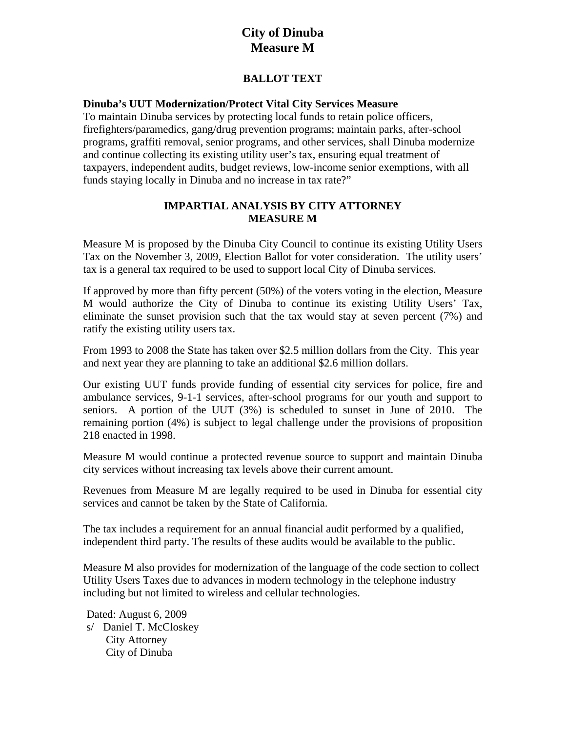# **City of Dinuba Measure M**

## **BALLOT TEXT**

#### **Dinuba's UUT Modernization/Protect Vital City Services Measure**

To maintain Dinuba services by protecting local funds to retain police officers, firefighters/paramedics, gang/drug prevention programs; maintain parks, after-school programs, graffiti removal, senior programs, and other services, shall Dinuba modernize and continue collecting its existing utility user's tax, ensuring equal treatment of taxpayers, independent audits, budget reviews, low-income senior exemptions, with all funds staying locally in Dinuba and no increase in tax rate?"

## **IMPARTIAL ANALYSIS BY CITY ATTORNEY MEASURE M**

Measure M is proposed by the Dinuba City Council to continue its existing Utility Users Tax on the November 3, 2009, Election Ballot for voter consideration. The utility users' tax is a general tax required to be used to support local City of Dinuba services.

If approved by more than fifty percent (50%) of the voters voting in the election, Measure M would authorize the City of Dinuba to continue its existing Utility Users' Tax, eliminate the sunset provision such that the tax would stay at seven percent (7%) and ratify the existing utility users tax.

From 1993 to 2008 the State has taken over \$2.5 million dollars from the City. This year and next year they are planning to take an additional \$2.6 million dollars.

Our existing UUT funds provide funding of essential city services for police, fire and ambulance services, 9-1-1 services, after-school programs for our youth and support to seniors. A portion of the UUT (3%) is scheduled to sunset in June of 2010. The remaining portion (4%) is subject to legal challenge under the provisions of proposition 218 enacted in 1998.

Measure M would continue a protected revenue source to support and maintain Dinuba city services without increasing tax levels above their current amount.

Revenues from Measure M are legally required to be used in Dinuba for essential city services and cannot be taken by the State of California.

The tax includes a requirement for an annual financial audit performed by a qualified, independent third party. The results of these audits would be available to the public.

Measure M also provides for modernization of the language of the code section to collect Utility Users Taxes due to advances in modern technology in the telephone industry including but not limited to wireless and cellular technologies.

Dated: August 6, 2009 s/ Daniel T. McCloskey City Attorney City of Dinuba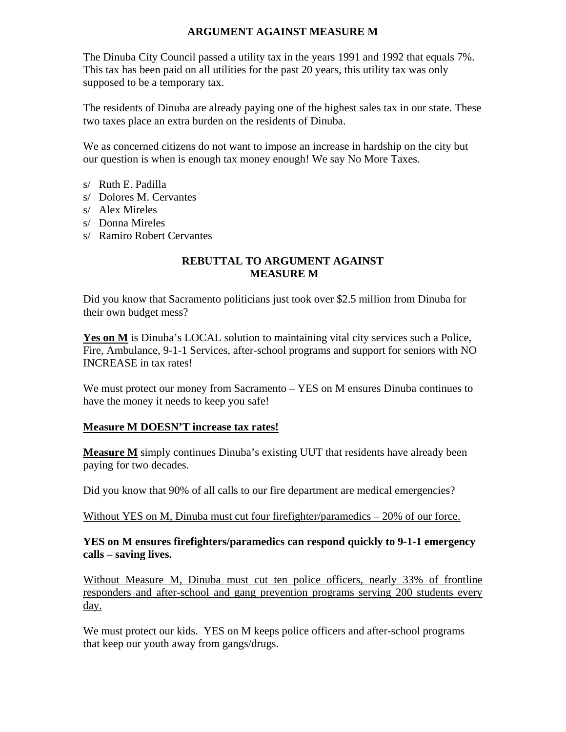## **ARGUMENT AGAINST MEASURE M**

The Dinuba City Council passed a utility tax in the years 1991 and 1992 that equals 7%. This tax has been paid on all utilities for the past 20 years, this utility tax was only supposed to be a temporary tax.

The residents of Dinuba are already paying one of the highest sales tax in our state. These two taxes place an extra burden on the residents of Dinuba.

We as concerned citizens do not want to impose an increase in hardship on the city but our question is when is enough tax money enough! We say No More Taxes.

- s/ Ruth E. Padilla
- s/ Dolores M. Cervantes
- s/ Alex Mireles
- s/ Donna Mireles
- s/ Ramiro Robert Cervantes

#### **REBUTTAL TO ARGUMENT AGAINST MEASURE M**

Did you know that Sacramento politicians just took over \$2.5 million from Dinuba for their own budget mess?

Yes on M is Dinuba's LOCAL solution to maintaining vital city services such a Police, Fire, Ambulance, 9-1-1 Services, after-school programs and support for seniors with NO INCREASE in tax rates!

We must protect our money from Sacramento – YES on M ensures Dinuba continues to have the money it needs to keep you safe!

#### **Measure M DOESN'T increase tax rates!**

**Measure M** simply continues Dinuba's existing UUT that residents have already been paying for two decades.

Did you know that 90% of all calls to our fire department are medical emergencies?

Without YES on M, Dinuba must cut four firefighter/paramedics – 20% of our force.

#### **YES on M ensures firefighters/paramedics can respond quickly to 9-1-1 emergency calls – saving lives.**

Without Measure M, Dinuba must cut ten police officers, nearly 33% of frontline responders and after-school and gang prevention programs serving 200 students every day.

We must protect our kids. YES on M keeps police officers and after-school programs that keep our youth away from gangs/drugs.